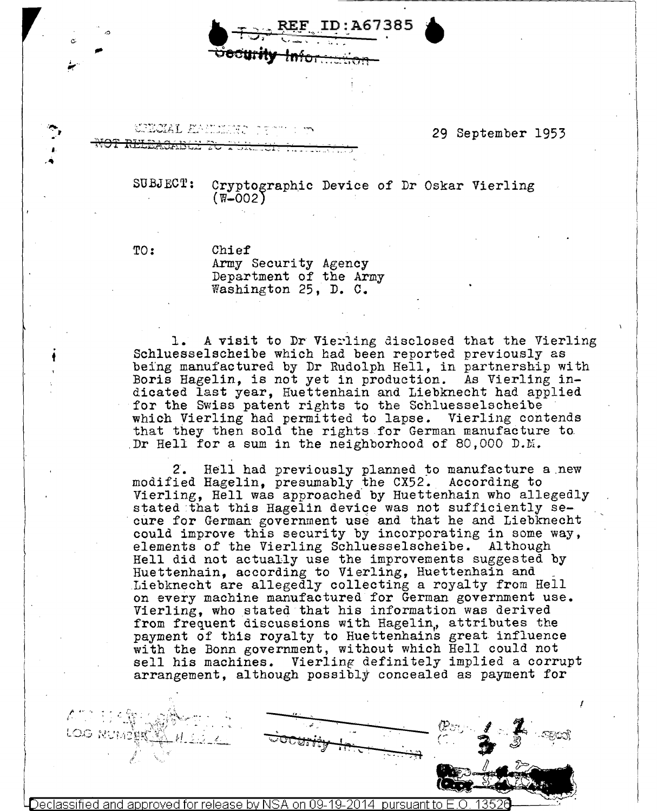D:A67385  $\blacksquare$ **OFF REF ID:A67385** 

**URUGAL ENCLES** 

•

## 29 September 1953

i  $\vert$ 

 $\mathbf{I}$ I

 $\left| \begin{array}{c} \end{array} \right|$ 

 $\mathbf{I}$ 

I

SUBJECT:

Cryptographic Device of Dr Oskar Vierling  $(W-002)$ 

TO:

*(""'"'* '•, •.

t

Chief Army Security Agency Department of the Army Washington 25, D. c.

1. A visit to Dr Vie~ling disclosed that the Vierling Schluesselscheibe which had been reported previously as being manufactured by Dr Rudolph Hell. in partnership with Boris Hagelin, is not yet in production. As Vierling indicated last year, Huettenhain and IJiebknecht had applied for the Swiss patent rights to the Schluesselscheibe which Vierling had permitted to lapse. Vierling contends that they then sold the rights for German manufacture to Dr Hell for a sum in the neighborhood of 80,000 D.M.

2. Hell had previously planned to manufacture a new modified Hagelin, presumably the CX52. According to Vierling, Hell was approached by Huettenhain who allegedly stated that this Hagelin device was not sufficiently secure for German government use and that he and Liebknecht could improve this security by incorporating in some way, elements of the Vierling Schluesselscheibe. Although Hell did not actually use the improvements suggested by Huettenhain, according to Vierling, Huettenhain and Liebknecht are allegedly collecting a royalty from Hell on every machine manufactured for German government use. Vierling, who stated that his information was derived from frequent discussions with Hagelin, attributes the payment of this royalty to Huettenhains great influence with the Bonn government, without which Hell could not sell his machines. Vierling definitely implied a corrupt arrangement, although possibly concealed as payment for

.. \,,,'

.<br>بي<del>ب . .</del>

Declassified and approved for release by NSA on 09-19-2014 pursuant to